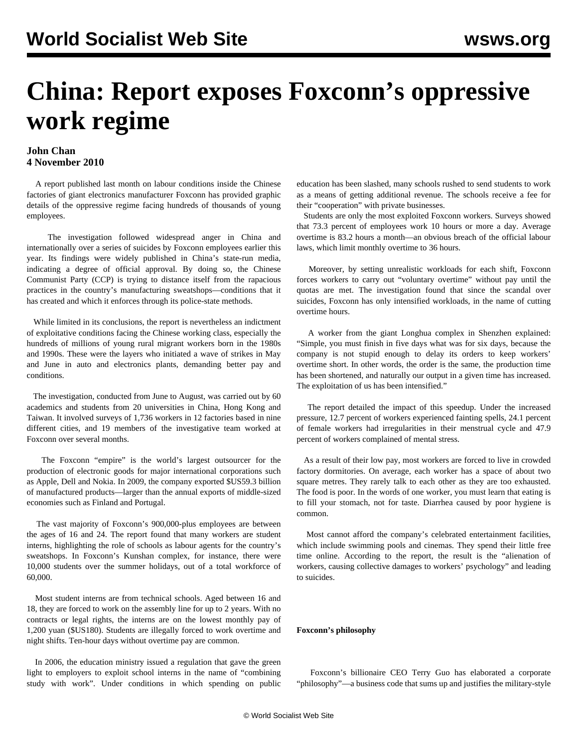# **China: Report exposes Foxconn's oppressive work regime**

### **John Chan 4 November 2010**

 A report published last month on labour conditions inside the Chinese factories of giant electronics manufacturer Foxconn has provided graphic details of the oppressive regime facing hundreds of thousands of young employees.

 The investigation followed widespread anger in China and internationally over a series of suicides by Foxconn employees earlier this year. Its findings were widely published in China's state-run media, indicating a degree of official approval. By doing so, the Chinese Communist Party (CCP) is trying to distance itself from the rapacious practices in the country's manufacturing sweatshops—conditions that it has created and which it enforces through its police-state methods.

 While limited in its conclusions, the report is nevertheless an indictment of exploitative conditions facing the Chinese working class, especially the hundreds of millions of young rural migrant workers born in the 1980s and 1990s. These were the layers who initiated a wave of strikes in May and June in auto and electronics plants, demanding better pay and conditions.

 The investigation, conducted from June to August, was carried out by 60 academics and students from 20 universities in China, Hong Kong and Taiwan. It involved surveys of 1,736 workers in 12 factories based in nine different cities, and 19 members of the investigative team worked at Foxconn over several months.

 The Foxconn "empire" is the world's largest outsourcer for the production of electronic goods for major international corporations such as Apple, Dell and Nokia. In 2009, the company exported \$US59.3 billion of manufactured products—larger than the annual exports of middle-sized economies such as Finland and Portugal.

 The vast majority of Foxconn's 900,000-plus employees are between the ages of 16 and 24. The report found that many workers are student interns, highlighting the role of schools as labour agents for the country's sweatshops. In Foxconn's Kunshan complex, for instance, there were 10,000 students over the summer holidays, out of a total workforce of 60,000.

 Most student interns are from technical schools. Aged between 16 and 18, they are forced to work on the assembly line for up to 2 years. With no contracts or legal rights, the interns are on the lowest monthly pay of 1,200 yuan (\$US180). Students are illegally forced to work overtime and night shifts. Ten-hour days without overtime pay are common.

 In 2006, the education ministry issued a regulation that gave the green light to employers to exploit school interns in the name of "combining study with work". Under conditions in which spending on public education has been slashed, many schools rushed to send students to work as a means of getting additional revenue. The schools receive a fee for their "cooperation" with private businesses.

 Students are only the most exploited Foxconn workers. Surveys showed that 73.3 percent of employees work 10 hours or more a day. Average overtime is 83.2 hours a month—an obvious breach of the official labour laws, which limit monthly overtime to 36 hours.

 Moreover, by setting unrealistic workloads for each shift, Foxconn forces workers to carry out "voluntary overtime" without pay until the quotas are met. The investigation found that since the scandal over suicides, Foxconn has only intensified workloads, in the name of cutting overtime hours.

 A worker from the giant Longhua complex in Shenzhen explained: "Simple, you must finish in five days what was for six days, because the company is not stupid enough to delay its orders to keep workers' overtime short. In other words, the order is the same, the production time has been shortened, and naturally our output in a given time has increased. The exploitation of us has been intensified."

 The report detailed the impact of this speedup. Under the increased pressure, 12.7 percent of workers experienced fainting spells, 24.1 percent of female workers had irregularities in their menstrual cycle and 47.9 percent of workers complained of mental stress.

 As a result of their low pay, most workers are forced to live in crowded factory dormitories. On average, each worker has a space of about two square metres. They rarely talk to each other as they are too exhausted. The food is poor. In the words of one worker, you must learn that eating is to fill your stomach, not for taste. Diarrhea caused by poor hygiene is common.

 Most cannot afford the company's celebrated entertainment facilities, which include swimming pools and cinemas. They spend their little free time online. According to the report, the result is the "alienation of workers, causing collective damages to workers' psychology" and leading to suicides.

#### **Foxconn's philosophy**

 Foxconn's billionaire CEO Terry Guo has elaborated a corporate "philosophy"—a business code that sums up and justifies the military-style